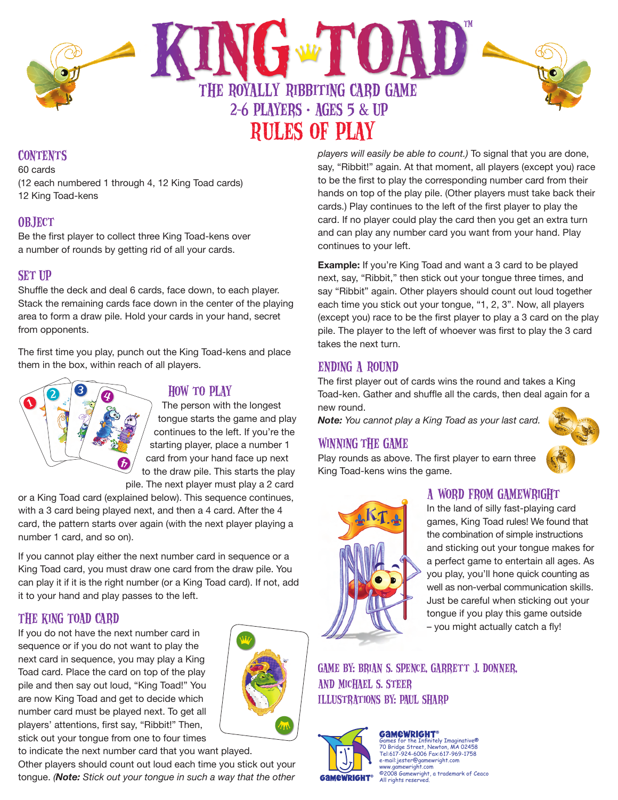

## **CONTENTS**

60 cards (12 each numbered 1 through 4, 12 King Toad cards) 12 King Toad-kens

## **OBJECT**

Be the first player to collect three King Toad-kens over a number of rounds by getting rid of all your cards.

## **SET UP**

Shuffle the deck and deal 6 cards, face down, to each player. Stack the remaining cards face down in the center of the playing area to form a draw pile. Hold your cards in your hand, secret from opponents.

The first time you play, punch out the King Toad-kens and place them in the box, within reach of all players.



### How to Play

The person with the longest tongue starts the game and play continues to the left. If you're the starting player, place a number 1 card from your hand face up next to the draw pile. This starts the play pile. The next player must play a 2 card

or a King Toad card (explained below). This sequence continues, with a 3 card being played next, and then a 4 card. After the 4 card, the pattern starts over again (with the next player playing a number 1 card, and so on).

If you cannot play either the next number card in sequence or a King Toad card, you must draw one card from the draw pile. You can play it if it is the right number (or a King Toad card). If not, add it to your hand and play passes to the left.

# The King Toad Card

If you do not have the next number card in sequence or if you do not want to play the next card in sequence, you may play a King Toad card. Place the card on top of the play pile and then say out loud, "King Toad!" You are now King Toad and get to decide which number card must be played next. To get all players' attentions, first say, "Ribbit!" Then, stick out your tongue from one to four times

to indicate the next number card that you want played. Other players should count out loud each time you stick out your tongue. *(Note: Stick out your tongue in such a way that the other* 

*players will easily be able to count.)* To signal that you are done, say, "Ribbit!" again. At that moment, all players (except you) race to be the first to play the corresponding number card from their hands on top of the play pile. (Other players must take back their cards.) Play continues to the left of the first player to play the card. If no player could play the card then you get an extra turn and can play any number card you want from your hand. Play continues to your left.

**Example:** If you're King Toad and want a 3 card to be played next, say, "Ribbit," then stick out your tongue three times, and say "Ribbit" again. Other players should count out loud together each time you stick out your tongue, "1, 2, 3". Now, all players (except you) race to be the first player to play a 3 card on the play pile. The player to the left of whoever was first to play the 3 card takes the next turn.

### ending a Round

The first player out of cards wins the round and takes a King Toad-ken. Gather and shuffle all the cards, then deal again for a new round.

*Note: You cannot play a King Toad as your last card.*

### Winning the Game

Play rounds as above. The first player to earn three King Toad-kens wins the game.



## A Word from Gamewright

In the land of silly fast-playing card games, King Toad rules! We found that the combination of simple instructions and sticking out your tongue makes for a perfect game to entertain all ages. As you play, you'll hone quick counting as well as non-verbal communication skills. Just be careful when sticking out your tongue if you play this game outside – you might actually catch a fly!

Game by: Brian S. Spence, Garrett J. Donner, and Michael S. Steer Illustrations by: Paul Sharp



Games for the Infinitely Imaginative® 70 Bridge Street, Newton, MA 02458 Tel:617-924-6006 Fax:617-969-1758 e-mail:jester@gamewright.com newright.com ©2008 Gamewright, a trademark of Ceaco All rights reserved.